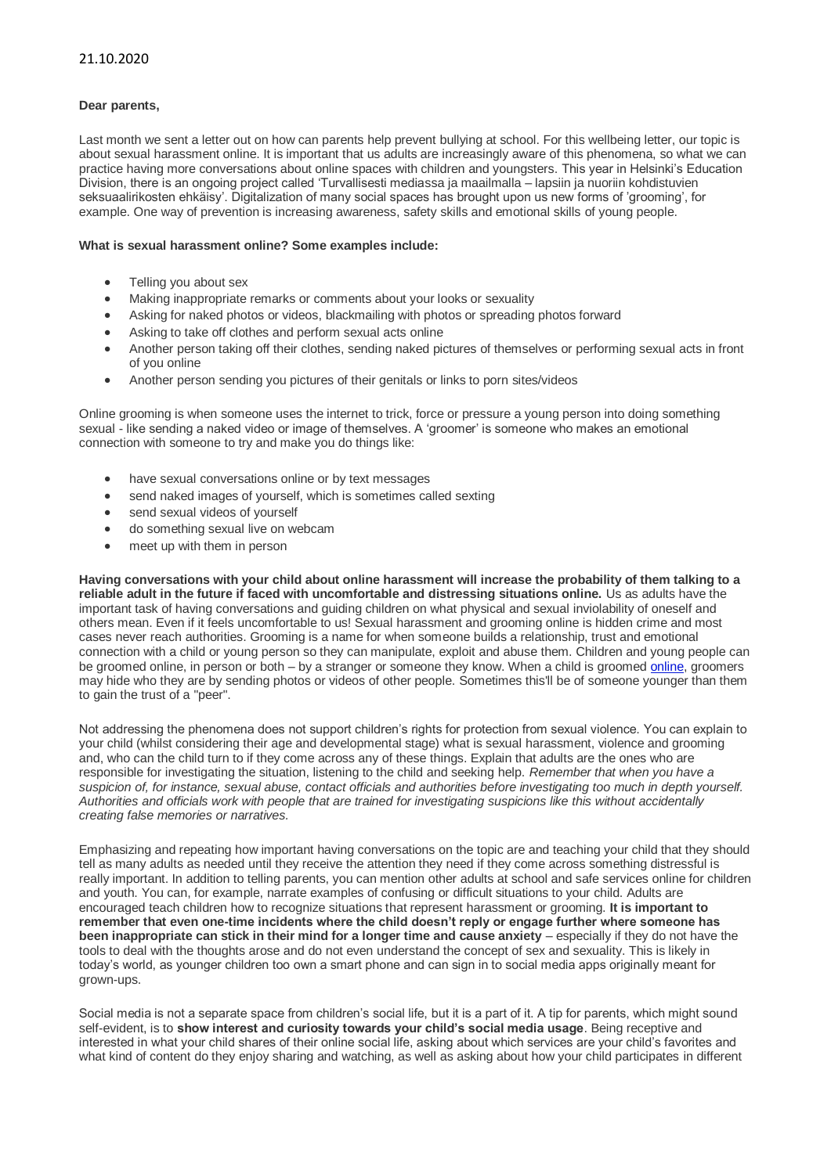## **Dear parents,**

Last month we sent a letter out on how can parents help prevent bullying at school. For this wellbeing letter, our topic is about sexual harassment online. It is important that us adults are increasingly aware of this phenomena, so what we can practice having more conversations about online spaces with children and youngsters. This year in Helsinki's Education Division, there is an ongoing project called 'Turvallisesti mediassa ja maailmalla – lapsiin ja nuoriin kohdistuvien seksuaalirikosten ehkäisy'. Digitalization of many social spaces has brought upon us new forms of 'grooming', for example. One way of prevention is increasing awareness, safety skills and emotional skills of young people.

## **What is sexual harassment online? Some examples include:**

- Telling you about sex
- Making inappropriate remarks or comments about your looks or sexuality
- Asking for naked photos or videos, blackmailing with photos or spreading photos forward
- Asking to take off clothes and perform sexual acts online
- Another person taking off their clothes, sending naked pictures of themselves or performing sexual acts in front of you online
- Another person sending you pictures of their genitals or links to porn sites/videos

Online grooming is when someone uses the internet to trick, force or pressure a young person into doing something sexual - like sending a naked video or image of themselves. A 'groomer' is someone who makes an emotional connection with someone to try and make you do things like:

- have sexual conversations online or by text messages
- send naked images of yourself, which is sometimes called sexting
- send sexual videos of yourself
- do something sexual live on webcam
- meet up with them in person

**Having conversations with your child about online harassment will increase the probability of them talking to a reliable adult in the future if faced with uncomfortable and distressing situations online.** Us as adults have the important task of having conversations and guiding children on what physical and sexual inviolability of oneself and others mean. Even if it feels uncomfortable to us! Sexual harassment and grooming online is hidden crime and most cases never reach authorities. Grooming is a name for when someone builds a relationship, trust and emotional connection with a child or young person so they can manipulate, exploit and abuse them. Children and young people can be groomed [online,](https://www.nspcc.org.uk/what-is-child-abuse/types-of-abuse/online-abuse/) in person or both – by a stranger or someone they know. When a child is groomed online, groomers may hide who they are by sending photos or videos of other people. Sometimes this'll be of someone younger than them to gain the trust of a "peer".

Not addressing the phenomena does not support children's rights for protection from sexual violence. You can explain to your child (whilst considering their age and developmental stage) what is sexual harassment, violence and grooming and, who can the child turn to if they come across any of these things. Explain that adults are the ones who are responsible for investigating the situation, listening to the child and seeking help. *Remember that when you have a suspicion of, for instance, sexual abuse, contact officials and authorities before investigating too much in depth yourself. Authorities and officials work with people that are trained for investigating suspicions like this without accidentally creating false memories or narratives.*

Emphasizing and repeating how important having conversations on the topic are and teaching your child that they should tell as many adults as needed until they receive the attention they need if they come across something distressful is really important. In addition to telling parents, you can mention other adults at school and safe services online for children and youth. You can, for example, narrate examples of confusing or difficult situations to your child. Adults are encouraged teach children how to recognize situations that represent harassment or grooming. **It is important to remember that even one-time incidents where the child doesn't reply or engage further where someone has been inappropriate can stick in their mind for a longer time and cause anxiety** – especially if they do not have the tools to deal with the thoughts arose and do not even understand the concept of sex and sexuality. This is likely in today's world, as younger children too own a smart phone and can sign in to social media apps originally meant for grown-ups.

Social media is not a separate space from children's social life, but it is a part of it. A tip for parents, which might sound self-evident, is to **show interest and curiosity towards your child's social media usage**. Being receptive and interested in what your child shares of their online social life, asking about which services are your child's favorites and what kind of content do they enjoy sharing and watching, as well as asking about how your child participates in different